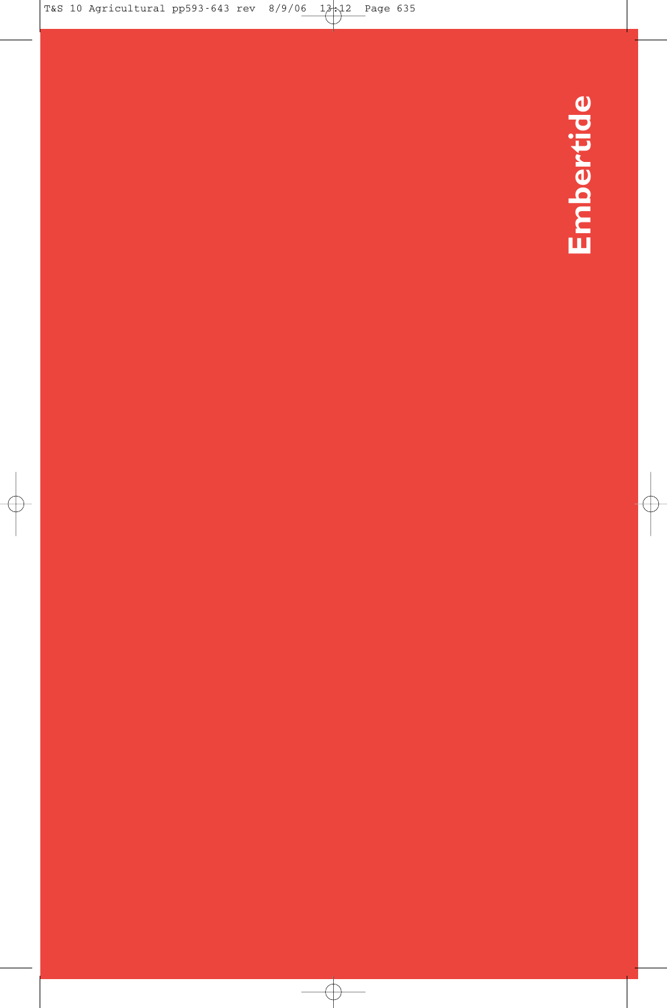Embertide **Embertide**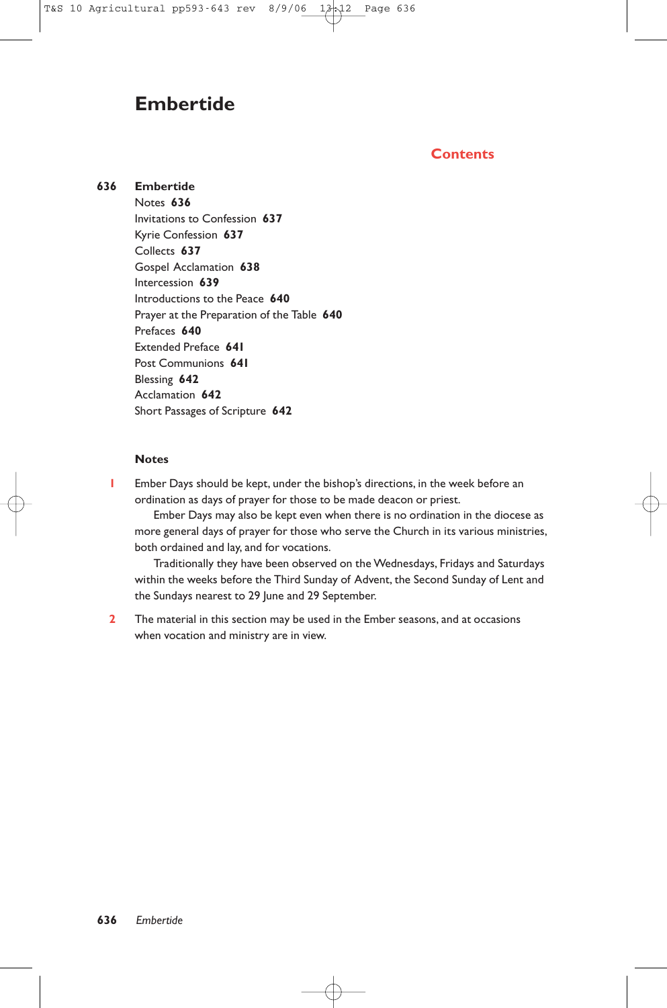## **Embertide**

## **Contents**

#### **636 Embertide** Notes **636** Invitations to Confession **637** Kyrie Confession **637** Collects **637** Gospel Acclamation **638** Intercession **639** Introductions to the Peace **640** Prayer at the Preparation of the Table **640** Prefaces **640** Extended Preface **641** Post Communions **641** Blessing **642** Acclamation **642** Short Passages of Scripture **642**

#### **Notes**

**1** Ember Days should be kept, under the bishop's directions, in the week before an ordination as days of prayer for those to be made deacon or priest.

Ember Days may also be kept even when there is no ordination in the diocese as more general days of prayer for those who serve the Church in its various ministries, both ordained and lay, and for vocations.

Traditionally they have been observed on the Wednesdays, Fridays and Saturdays within the weeks before the Third Sunday of Advent, the Second Sunday of Lent and the Sundays nearest to 29 June and 29 September.

**2** The material in this section may be used in the Ember seasons, and at occasions when vocation and ministry are in view.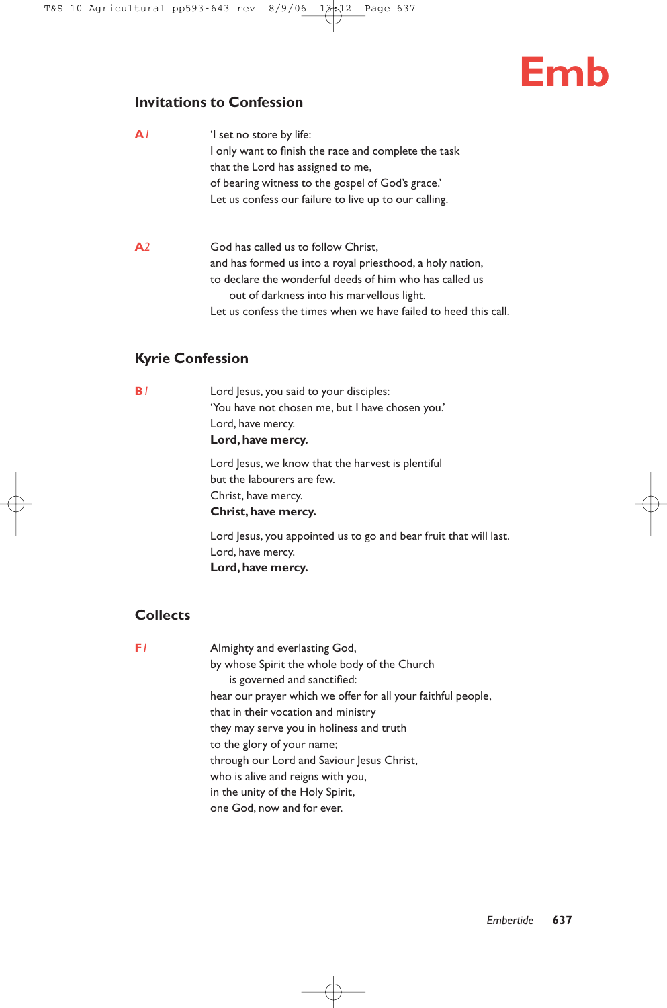# **Emb**

## **Invitations to Confession**

| A I            | 'I set no store by life:<br>I only want to finish the race and complete the task<br>that the Lord has assigned to me,<br>of bearing witness to the gospel of God's grace.'<br>Let us confess our failure to live up to our calling.                                          |
|----------------|------------------------------------------------------------------------------------------------------------------------------------------------------------------------------------------------------------------------------------------------------------------------------|
| A <sup>2</sup> | God has called us to follow Christ,<br>and has formed us into a royal priesthood, a holy nation,<br>to declare the wonderful deeds of him who has called us<br>out of darkness into his marvellous light.<br>Let us confess the times when we have failed to heed this call. |

## **Kyrie Confession**

**B**<sup>1</sup> Lord Jesus, you said to your disciples: 'You have not chosen me, but I have chosen you.' Lord, have mercy. **Lord, have mercy.**

> Lord Jesus, we know that the harvest is plentiful but the labourers are few. Christ, have mercy. **Christ, have mercy.**

Lord Jesus, you appointed us to go and bear fruit that will last. Lord, have mercy. **Lord, have mercy.**

## **Collects**

**F**<sup>*1*</sup> Almighty and everlasting God, by whose Spirit the whole body of the Church is governed and sanctified: hear our prayer which we offer for all your faithful people, that in their vocation and ministry they may serve you in holiness and truth to the glory of your name; through our Lord and Saviour Jesus Christ, who is alive and reigns with you, in the unity of the Holy Spirit, one God, now and for ever.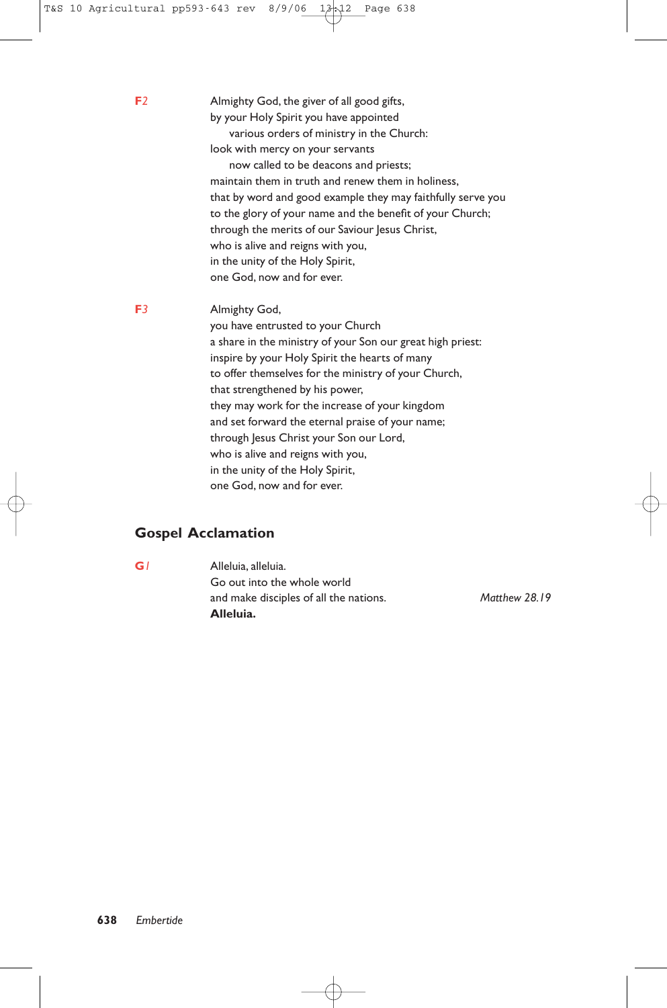**F***2* Almighty God, the giver of all good gifts, by your Holy Spirit you have appointed various orders of ministry in the Church: look with mercy on your servants now called to be deacons and priests; maintain them in truth and renew them in holiness, that by word and good example they may faithfully serve you to the glory of your name and the benefit of your Church; through the merits of our Saviour Jesus Christ, who is alive and reigns with you, in the unity of the Holy Spirit, one God, now and for ever. **F***3* Almighty God, you have entrusted to your Church a share in the ministry of your Son our great high priest: inspire by your Holy Spirit the hearts of many to offer themselves for the ministry of your Church, that strengthened by his power, they may work for the increase of your kingdom and set forward the eternal praise of your name; through Jesus Christ your Son our Lord, who is alive and reigns with you, in the unity of the Holy Spirit,

one God, now and for ever.

## **Gospel Acclamation**

**G***1* Alleluia, alleluia. Go out into the whole world and make disciples of all the nations. *Matthew 28.19* **Alleluia.**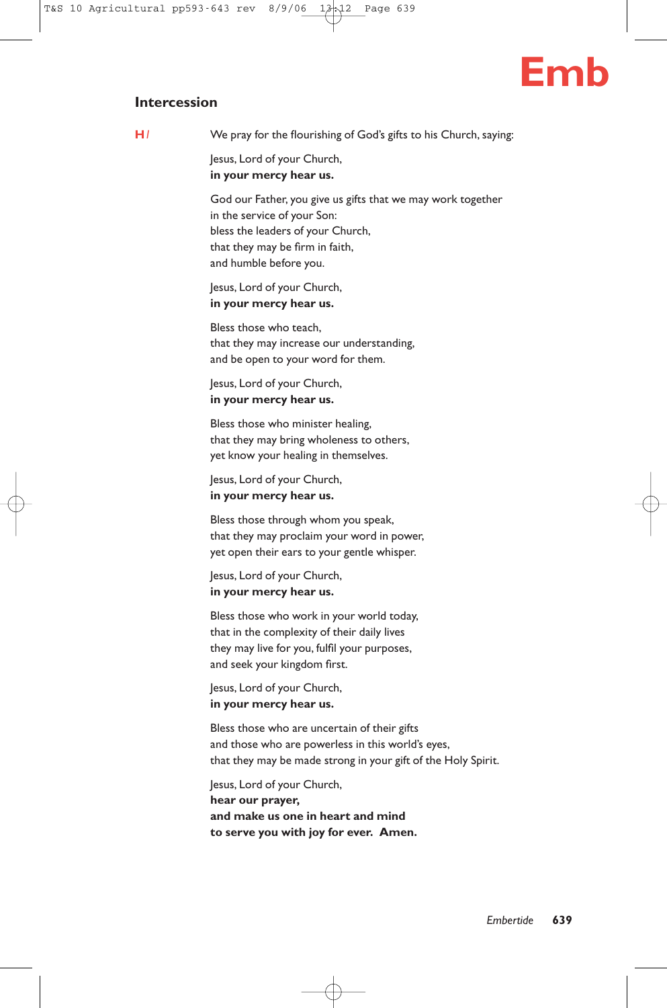

#### **Intercession**

**H***1* We pray for the flourishing of God's gifts to his Church, saying:

Jesus, Lord of your Church, **in your mercy hear us.**

God our Father, you give us gifts that we may work together in the service of your Son: bless the leaders of your Church, that they may be firm in faith, and humble before you.

Jesus, Lord of your Church, **in your mercy hear us.**

Bless those who teach, that they may increase our understanding, and be open to your word for them.

Jesus, Lord of your Church, **in your mercy hear us.**

Bless those who minister healing, that they may bring wholeness to others, yet know your healing in themselves.

Jesus, Lord of your Church, **in your mercy hear us.**

Bless those through whom you speak, that they may proclaim your word in power, yet open their ears to your gentle whisper.

Jesus, Lord of your Church, **in your mercy hear us.**

Bless those who work in your world today, that in the complexity of their daily lives they may live for you, fulfil your purposes, and seek your kingdom first.

Jesus, Lord of your Church, **in your mercy hear us.**

Bless those who are uncertain of their gifts and those who are powerless in this world's eyes, that they may be made strong in your gift of the Holy Spirit.

Jesus, Lord of your Church, **hear our prayer, and make us one in heart and mind to serve you with joy for ever. Amen.**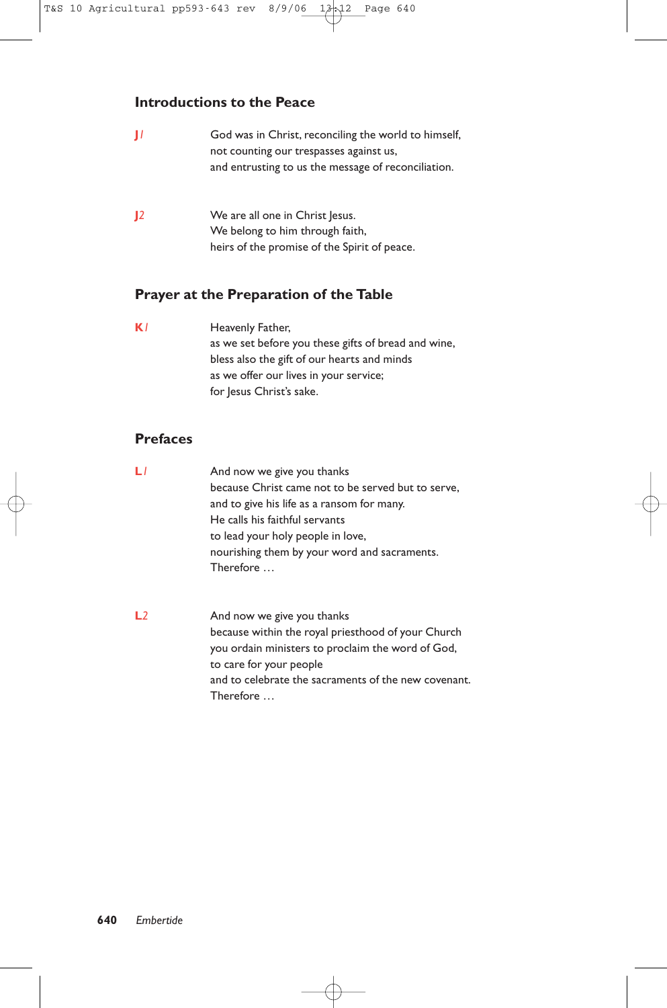## **Introductions to the Peace**

| Ħ            | God was in Christ, reconciling the world to himself, |
|--------------|------------------------------------------------------|
|              | not counting our trespasses against us,              |
|              | and entrusting to us the message of reconciliation.  |
|              |                                                      |
| $\mathbf{I}$ | We are all one in Christ Jesus.                      |
|              | We belong to him through faith,                      |
|              | heirs of the promise of the Spirit of peace.         |

## **Prayer at the Preparation of the Table**

**K**<sup>*I*</sup> Heavenly Father, as we set before you these gifts of bread and wine, bless also the gift of our hearts and minds as we offer our lives in your service; for Jesus Christ's sake.

## **Prefaces**

- **L***l* And now we give you thanks because Christ came not to be served but to serve, and to give his life as a ransom for many. He calls his faithful servants to lead your holy people in love, nourishing them by your word and sacraments. Therefore …
- **L**2 And now we give you thanks because within the royal priesthood of your Church you ordain ministers to proclaim the word of God, to care for your people and to celebrate the sacraments of the new covenant. Therefore …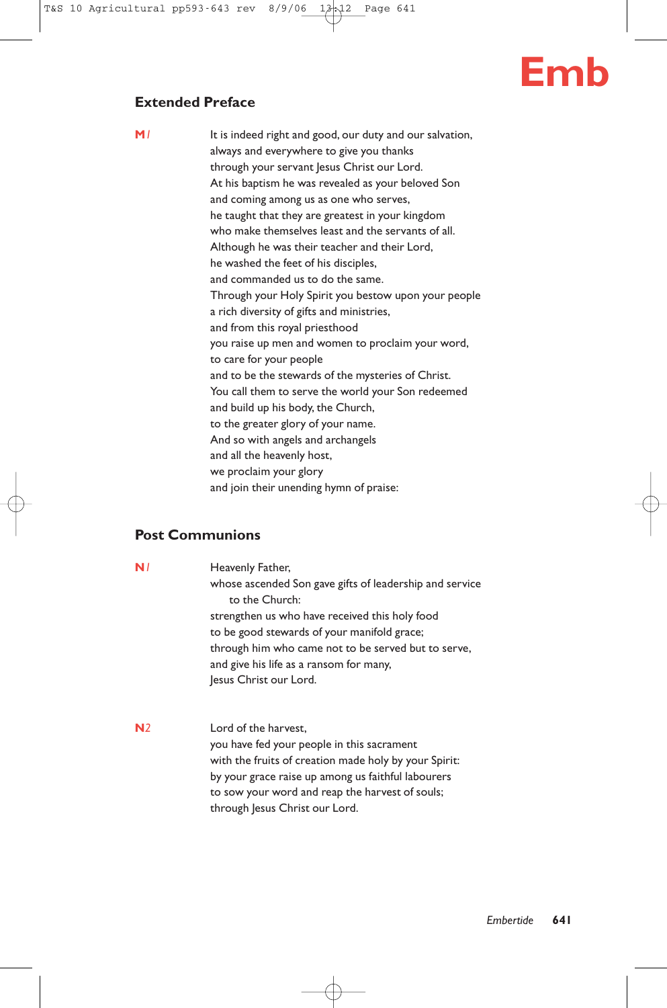

## **Extended Preface**

**M**<sup>1</sup> It is indeed right and good, our duty and our salvation, always and everywhere to give you thanks through your servant Jesus Christ our Lord. At his baptism he was revealed as your beloved Son and coming among us as one who serves, he taught that they are greatest in your kingdom who make themselves least and the servants of all. Although he was their teacher and their Lord, he washed the feet of his disciples, and commanded us to do the same. Through your Holy Spirit you bestow upon your people a rich diversity of gifts and ministries, and from this royal priesthood you raise up men and women to proclaim your word, to care for your people and to be the stewards of the mysteries of Christ. You call them to serve the world your Son redeemed

and build up his body, the Church, to the greater glory of your name. And so with angels and archangels and all the heavenly host, we proclaim your glory

and join their unending hymn of praise:

## **Post Communions**

**N**<sup>1</sup> Heavenly Father, whose ascended Son gave gifts of leadership and service to the Church: strengthen us who have received this holy food to be good stewards of your manifold grace; through him who came not to be served but to serve, and give his life as a ransom for many, Jesus Christ our Lord.

**N***2* Lord of the harvest, you have fed your people in this sacrament with the fruits of creation made holy by your Spirit: by your grace raise up among us faithful labourers to sow your word and reap the harvest of souls; through Jesus Christ our Lord.